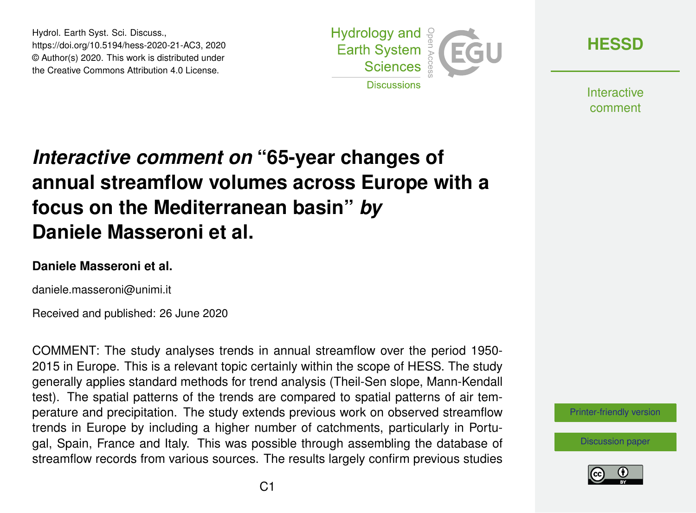Hydrol. Earth Syst. Sci. Discuss., https://doi.org/10.5194/hess-2020-21-AC3, 2020 © Author(s) 2020. This work is distributed under the Creative Commons Attribution 4.0 License.



**[HESSD](https://www.hydrol-earth-syst-sci-discuss.net/)**

**Interactive** comment

# *Interactive comment on* **"65-year changes of annual streamflow volumes across Europe with a focus on the Mediterranean basin"** *by* **Daniele Masseroni et al.**

#### **Daniele Masseroni et al.**

daniele.masseroni@unimi.it

Received and published: 26 June 2020

COMMENT: The study analyses trends in annual streamflow over the period 1950- 2015 in Europe. This is a relevant topic certainly within the scope of HESS. The study generally applies standard methods for trend analysis (Theil-Sen slope, Mann-Kendall test). The spatial patterns of the trends are compared to spatial patterns of air temperature and precipitation. The study extends previous work on observed streamflow trends in Europe by including a higher number of catchments, particularly in Portugal, Spain, France and Italy. This was possible through assembling the database of streamflow records from various sources. The results largely confirm previous studies

[Printer-friendly version](https://www.hydrol-earth-syst-sci-discuss.net/hess-2020-21/hess-2020-21-AC3-print.pdf)

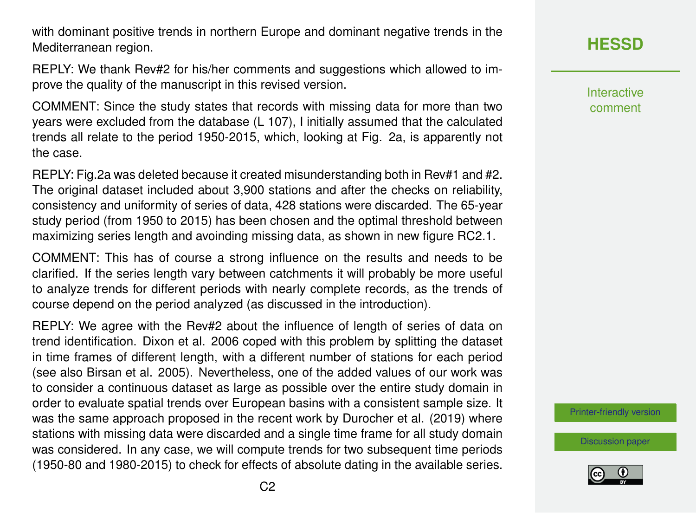with dominant positive trends in northern Europe and dominant negative trends in the Mediterranean region.

REPLY: We thank Rev#2 for his/her comments and suggestions which allowed to improve the quality of the manuscript in this revised version.

COMMENT: Since the study states that records with missing data for more than two years were excluded from the database (L 107), I initially assumed that the calculated trends all relate to the period 1950-2015, which, looking at Fig. 2a, is apparently not the case.

REPLY: Fig.2a was deleted because it created misunderstanding both in Rev#1 and #2. The original dataset included about 3,900 stations and after the checks on reliability, consistency and uniformity of series of data, 428 stations were discarded. The 65-year study period (from 1950 to 2015) has been chosen and the optimal threshold between maximizing series length and avoinding missing data, as shown in new figure RC2.1.

COMMENT: This has of course a strong influence on the results and needs to be clarified. If the series length vary between catchments it will probably be more useful to analyze trends for different periods with nearly complete records, as the trends of course depend on the period analyzed (as discussed in the introduction).

REPLY: We agree with the Rev#2 about the influence of length of series of data on trend identification. Dixon et al. 2006 coped with this problem by splitting the dataset in time frames of different length, with a different number of stations for each period (see also Birsan et al. 2005). Nevertheless, one of the added values of our work was to consider a continuous dataset as large as possible over the entire study domain in order to evaluate spatial trends over European basins with a consistent sample size. It was the same approach proposed in the recent work by Durocher et al. (2019) where stations with missing data were discarded and a single time frame for all study domain was considered. In any case, we will compute trends for two subsequent time periods (1950-80 and 1980-2015) to check for effects of absolute dating in the available series.

**[HESSD](https://www.hydrol-earth-syst-sci-discuss.net/)**

**Interactive** comment

[Printer-friendly version](https://www.hydrol-earth-syst-sci-discuss.net/hess-2020-21/hess-2020-21-AC3-print.pdf)

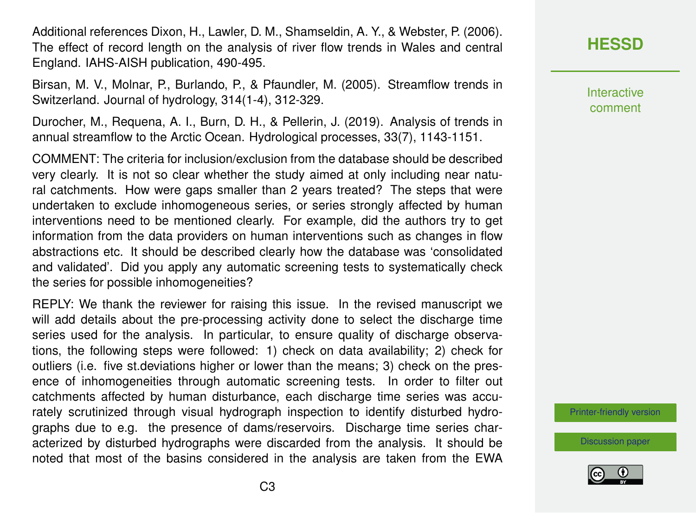Additional references Dixon, H., Lawler, D. M., Shamseldin, A. Y., & Webster, P. (2006). The effect of record length on the analysis of river flow trends in Wales and central England. IAHS-AISH publication, 490-495.

Birsan, M. V., Molnar, P., Burlando, P., & Pfaundler, M. (2005). Streamflow trends in Switzerland. Journal of hydrology, 314(1-4), 312-329.

Durocher, M., Requena, A. I., Burn, D. H., & Pellerin, J. (2019). Analysis of trends in annual streamflow to the Arctic Ocean. Hydrological processes, 33(7), 1143-1151.

COMMENT: The criteria for inclusion/exclusion from the database should be described very clearly. It is not so clear whether the study aimed at only including near natural catchments. How were gaps smaller than 2 years treated? The steps that were undertaken to exclude inhomogeneous series, or series strongly affected by human interventions need to be mentioned clearly. For example, did the authors try to get information from the data providers on human interventions such as changes in flow abstractions etc. It should be described clearly how the database was 'consolidated and validated'. Did you apply any automatic screening tests to systematically check the series for possible inhomogeneities?

REPLY: We thank the reviewer for raising this issue. In the revised manuscript we will add details about the pre-processing activity done to select the discharge time series used for the analysis. In particular, to ensure quality of discharge observations, the following steps were followed: 1) check on data availability; 2) check for outliers (i.e. five st.deviations higher or lower than the means; 3) check on the presence of inhomogeneities through automatic screening tests. In order to filter out catchments affected by human disturbance, each discharge time series was accurately scrutinized through visual hydrograph inspection to identify disturbed hydrographs due to e.g. the presence of dams/reservoirs. Discharge time series characterized by disturbed hydrographs were discarded from the analysis. It should be noted that most of the basins considered in the analysis are taken from the EWA

## **[HESSD](https://www.hydrol-earth-syst-sci-discuss.net/)**

**Interactive** comment

[Printer-friendly version](https://www.hydrol-earth-syst-sci-discuss.net/hess-2020-21/hess-2020-21-AC3-print.pdf)

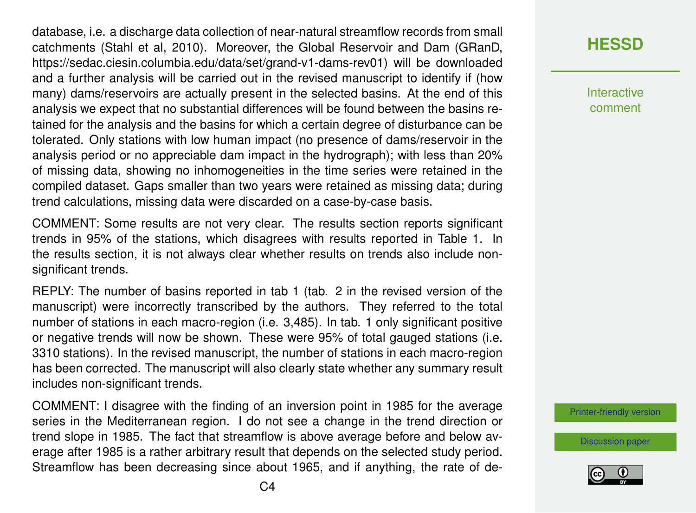database, i.e. a discharge data collection of near-natural streamflow records from small catchments (Stahl et al, 2010). Moreover, the Global Reservoir and Dam (GRanD, https://sedac.ciesin.columbia.edu/data/set/grand-v1-dams-rev01) will be downloaded and a further analysis will be carried out in the revised manuscript to identify if (how many) dams/reservoirs are actually present in the selected basins. At the end of this analysis we expect that no substantial differences will be found between the basins retained for the analysis and the basins for which a certain degree of disturbance can be tolerated. Only stations with low human impact (no presence of dams/reservoir in the analysis period or no appreciable dam impact in the hydrograph); with less than 20% of missing data, showing no inhomogeneities in the time series were retained in the compiled dataset. Gaps smaller than two years were retained as missing data; during trend calculations, missing data were discarded on a case-by-case basis.

COMMENT: Some results are not very clear. The results section reports significant trends in 95% of the stations, which disagrees with results reported in Table 1. In the results section, it is not always clear whether results on trends also include nonsignificant trends.

REPLY: The number of basins reported in tab 1 (tab. 2 in the revised version of the manuscript) were incorrectly transcribed by the authors. They referred to the total number of stations in each macro-region (i.e. 3,485). In tab. 1 only significant positive or negative trends will now be shown. These were 95% of total gauged stations (i.e. 3310 stations). In the revised manuscript, the number of stations in each macro-region has been corrected. The manuscript will also clearly state whether any summary result includes non-significant trends.

COMMENT: I disagree with the finding of an inversion point in 1985 for the average series in the Mediterranean region. I do not see a change in the trend direction or trend slope in 1985. The fact that streamflow is above average before and below average after 1985 is a rather arbitrary result that depends on the selected study period. Streamflow has been decreasing since about 1965, and if anything, the rate of de**Interactive** comment

[Printer-friendly version](https://www.hydrol-earth-syst-sci-discuss.net/hess-2020-21/hess-2020-21-AC3-print.pdf)

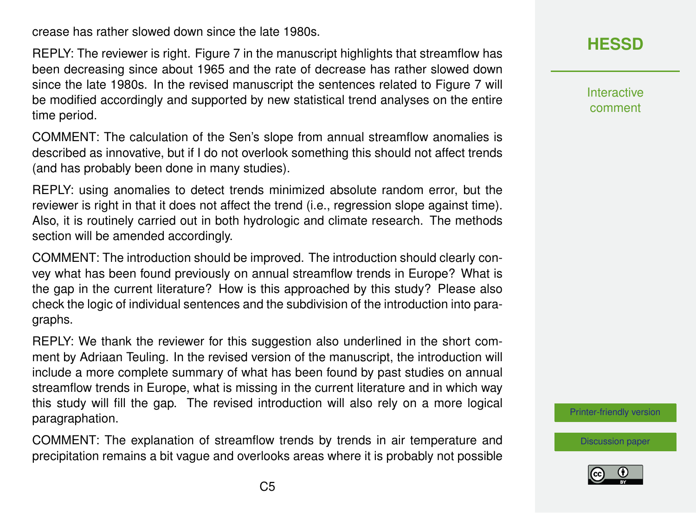crease has rather slowed down since the late 1980s.

REPLY: The reviewer is right. Figure 7 in the manuscript highlights that streamflow has been decreasing since about 1965 and the rate of decrease has rather slowed down since the late 1980s. In the revised manuscript the sentences related to Figure 7 will be modified accordingly and supported by new statistical trend analyses on the entire time period.

COMMENT: The calculation of the Sen's slope from annual streamflow anomalies is described as innovative, but if I do not overlook something this should not affect trends (and has probably been done in many studies).

REPLY: using anomalies to detect trends minimized absolute random error, but the reviewer is right in that it does not affect the trend (i.e., regression slope against time). Also, it is routinely carried out in both hydrologic and climate research. The methods section will be amended accordingly.

COMMENT: The introduction should be improved. The introduction should clearly convey what has been found previously on annual streamflow trends in Europe? What is the gap in the current literature? How is this approached by this study? Please also check the logic of individual sentences and the subdivision of the introduction into paragraphs.

REPLY: We thank the reviewer for this suggestion also underlined in the short comment by Adriaan Teuling. In the revised version of the manuscript, the introduction will include a more complete summary of what has been found by past studies on annual streamflow trends in Europe, what is missing in the current literature and in which way this study will fill the gap. The revised introduction will also rely on a more logical paragraphation.

COMMENT: The explanation of streamflow trends by trends in air temperature and precipitation remains a bit vague and overlooks areas where it is probably not possible



**Interactive** comment

[Printer-friendly version](https://www.hydrol-earth-syst-sci-discuss.net/hess-2020-21/hess-2020-21-AC3-print.pdf)

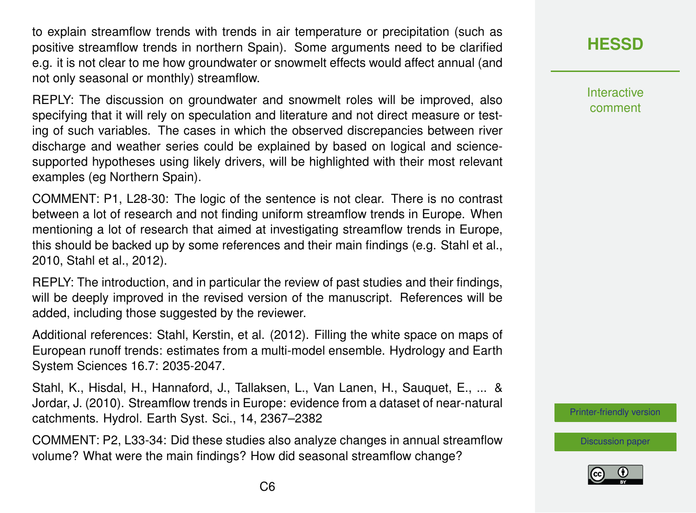to explain streamflow trends with trends in air temperature or precipitation (such as positive streamflow trends in northern Spain). Some arguments need to be clarified e.g. it is not clear to me how groundwater or snowmelt effects would affect annual (and not only seasonal or monthly) streamflow.

REPLY: The discussion on groundwater and snowmelt roles will be improved, also specifying that it will rely on speculation and literature and not direct measure or testing of such variables. The cases in which the observed discrepancies between river discharge and weather series could be explained by based on logical and sciencesupported hypotheses using likely drivers, will be highlighted with their most relevant examples (eg Northern Spain).

COMMENT: P1, L28-30: The logic of the sentence is not clear. There is no contrast between a lot of research and not finding uniform streamflow trends in Europe. When mentioning a lot of research that aimed at investigating streamflow trends in Europe, this should be backed up by some references and their main findings (e.g. Stahl et al., 2010, Stahl et al., 2012).

REPLY: The introduction, and in particular the review of past studies and their findings, will be deeply improved in the revised version of the manuscript. References will be added, including those suggested by the reviewer.

Additional references: Stahl, Kerstin, et al. (2012). Filling the white space on maps of European runoff trends: estimates from a multi-model ensemble. Hydrology and Earth System Sciences 16.7: 2035-2047.

Stahl, K., Hisdal, H., Hannaford, J., Tallaksen, L., Van Lanen, H., Sauquet, E., ... & Jordar, J. (2010). Streamflow trends in Europe: evidence from a dataset of near-natural catchments. Hydrol. Earth Syst. Sci., 14, 2367–2382

COMMENT: P2, L33-34: Did these studies also analyze changes in annual streamflow volume? What were the main findings? How did seasonal streamflow change?

#### **[HESSD](https://www.hydrol-earth-syst-sci-discuss.net/)**

**Interactive** comment

[Printer-friendly version](https://www.hydrol-earth-syst-sci-discuss.net/hess-2020-21/hess-2020-21-AC3-print.pdf)

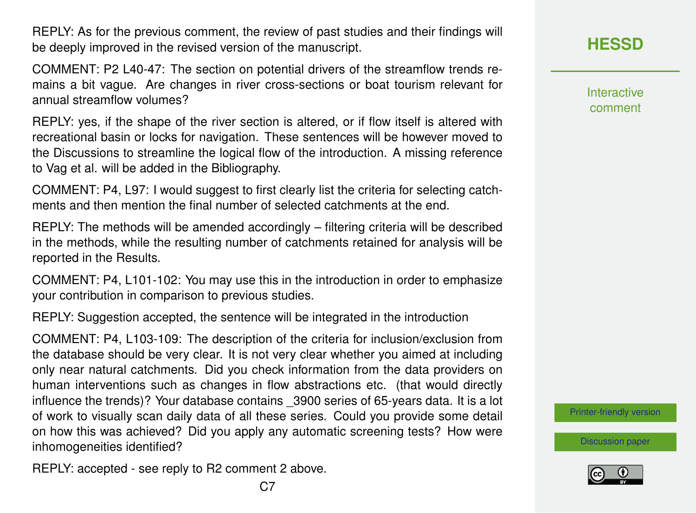REPLY: As for the previous comment, the review of past studies and their findings will be deeply improved in the revised version of the manuscript.

COMMENT: P2 L40-47: The section on potential drivers of the streamflow trends remains a bit vague. Are changes in river cross-sections or boat tourism relevant for annual streamflow volumes?

REPLY: yes, if the shape of the river section is altered, or if flow itself is altered with recreational basin or locks for navigation. These sentences will be however moved to the Discussions to streamline the logical flow of the introduction. A missing reference to Vag et al. will be added in the Bibliography.

COMMENT: P4, L97: I would suggest to first clearly list the criteria for selecting catchments and then mention the final number of selected catchments at the end.

REPLY: The methods will be amended accordingly – filtering criteria will be described in the methods, while the resulting number of catchments retained for analysis will be reported in the Results.

COMMENT: P4, L101-102: You may use this in the introduction in order to emphasize your contribution in comparison to previous studies.

REPLY: Suggestion accepted, the sentence will be integrated in the introduction

COMMENT: P4, L103-109: The description of the criteria for inclusion/exclusion from the database should be very clear. It is not very clear whether you aimed at including only near natural catchments. Did you check information from the data providers on human interventions such as changes in flow abstractions etc. (that would directly influence the trends)? Your database contains \_3900 series of 65-years data. It is a lot of work to visually scan daily data of all these series. Could you provide some detail on how this was achieved? Did you apply any automatic screening tests? How were inhomogeneities identified?

REPLY: accepted - see reply to R2 comment 2 above.

**[HESSD](https://www.hydrol-earth-syst-sci-discuss.net/)**

Interactive comment

[Printer-friendly version](https://www.hydrol-earth-syst-sci-discuss.net/hess-2020-21/hess-2020-21-AC3-print.pdf)

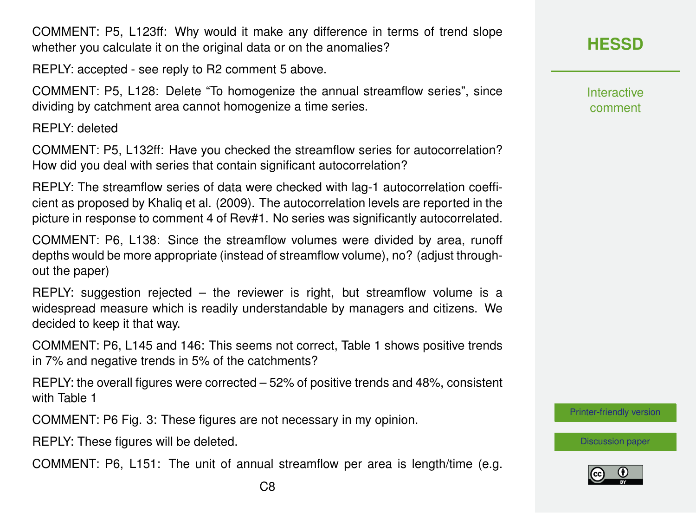COMMENT: P5, L123ff: Why would it make any difference in terms of trend slope whether you calculate it on the original data or on the anomalies?

REPLY: accepted - see reply to R2 comment 5 above.

COMMENT: P5, L128: Delete "To homogenize the annual streamflow series", since dividing by catchment area cannot homogenize a time series.

REPLY: deleted

COMMENT: P5, L132ff: Have you checked the streamflow series for autocorrelation? How did you deal with series that contain significant autocorrelation?

REPLY: The streamflow series of data were checked with lag-1 autocorrelation coefficient as proposed by Khaliq et al. (2009). The autocorrelation levels are reported in the picture in response to comment 4 of Rev#1. No series was significantly autocorrelated.

COMMENT: P6, L138: Since the streamflow volumes were divided by area, runoff depths would be more appropriate (instead of streamflow volume), no? (adjust throughout the paper)

 $REPLY:$  suggestion rejected – the reviewer is right, but streamflow volume is a widespread measure which is readily understandable by managers and citizens. We decided to keep it that way.

COMMENT: P6, L145 and 146: This seems not correct, Table 1 shows positive trends in 7% and negative trends in 5% of the catchments?

REPLY: the overall figures were corrected – 52% of positive trends and 48%, consistent with Table 1

COMMENT: P6 Fig. 3: These figures are not necessary in my opinion.

REPLY: These figures will be deleted.

COMMENT: P6, L151: The unit of annual streamflow per area is length/time (e.g.

**Interactive** comment

[Printer-friendly version](https://www.hydrol-earth-syst-sci-discuss.net/hess-2020-21/hess-2020-21-AC3-print.pdf)

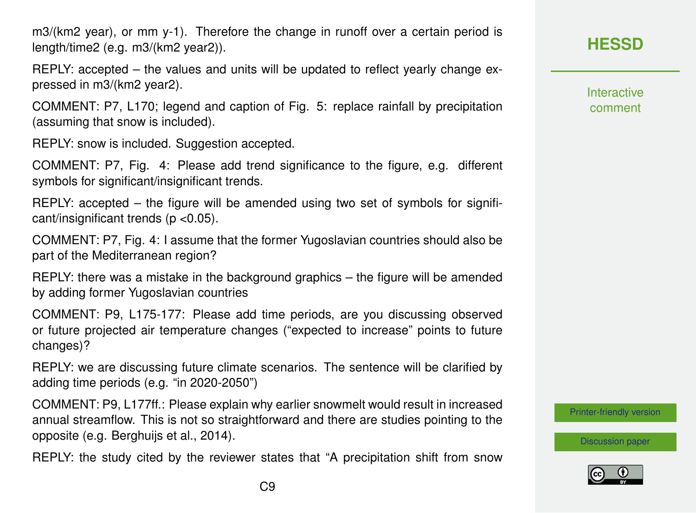m3/(km2 year), or mm y-1). Therefore the change in runoff over a certain period is length/time2 (e.g. m3/(km2 year2)).

REPLY: accepted – the values and units will be updated to reflect yearly change expressed in m3/(km2 year2).

COMMENT: P7, L170; legend and caption of Fig. 5: replace rainfall by precipitation (assuming that snow is included).

REPLY: snow is included. Suggestion accepted.

COMMENT: P7, Fig. 4: Please add trend significance to the figure, e.g. different symbols for significant/insignificant trends.

REPLY: accepted – the figure will be amended using two set of symbols for significant/insignificant trends ( $p$  < 0.05).

COMMENT: P7, Fig. 4: I assume that the former Yugoslavian countries should also be part of the Mediterranean region?

REPLY: there was a mistake in the background graphics – the figure will be amended by adding former Yugoslavian countries

COMMENT: P9, L175-177: Please add time periods, are you discussing observed or future projected air temperature changes ("expected to increase" points to future changes)?

REPLY: we are discussing future climate scenarios. The sentence will be clarified by adding time periods (e.g. "in 2020-2050")

COMMENT: P9, L177ff.: Please explain why earlier snowmelt would result in increased annual streamflow. This is not so straightforward and there are studies pointing to the opposite (e.g. Berghuijs et al., 2014).

REPLY: the study cited by the reviewer states that "A precipitation shift from snow

## **[HESSD](https://www.hydrol-earth-syst-sci-discuss.net/)**

**Interactive** comment

[Printer-friendly version](https://www.hydrol-earth-syst-sci-discuss.net/hess-2020-21/hess-2020-21-AC3-print.pdf)

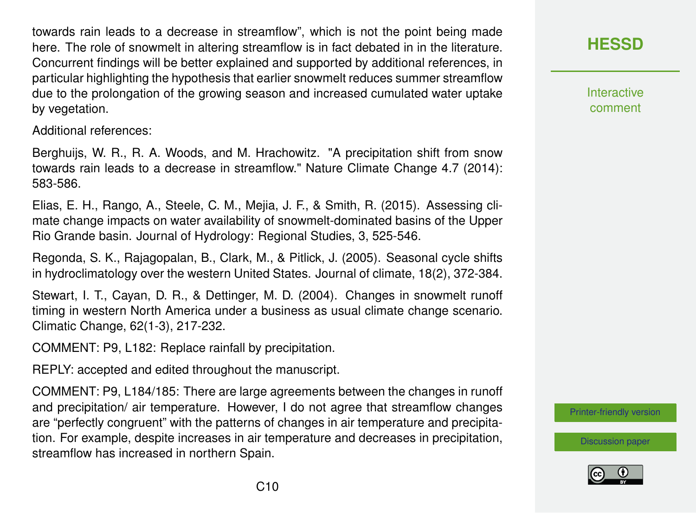towards rain leads to a decrease in streamflow", which is not the point being made here. The role of snowmelt in altering streamflow is in fact debated in in the literature. Concurrent findings will be better explained and supported by additional references, in particular highlighting the hypothesis that earlier snowmelt reduces summer streamflow due to the prolongation of the growing season and increased cumulated water uptake by vegetation.

Additional references:

Berghuijs, W. R., R. A. Woods, and M. Hrachowitz. "A precipitation shift from snow towards rain leads to a decrease in streamflow." Nature Climate Change 4.7 (2014): 583-586.

Elias, E. H., Rango, A., Steele, C. M., Mejia, J. F., & Smith, R. (2015). Assessing climate change impacts on water availability of snowmelt-dominated basins of the Upper Rio Grande basin. Journal of Hydrology: Regional Studies, 3, 525-546.

Regonda, S. K., Rajagopalan, B., Clark, M., & Pitlick, J. (2005). Seasonal cycle shifts in hydroclimatology over the western United States. Journal of climate, 18(2), 372-384.

Stewart, I. T., Cayan, D. R., & Dettinger, M. D. (2004). Changes in snowmelt runoff timing in western North America under a business as usual climate change scenario. Climatic Change, 62(1-3), 217-232.

COMMENT: P9, L182: Replace rainfall by precipitation.

REPLY: accepted and edited throughout the manuscript.

COMMENT: P9, L184/185: There are large agreements between the changes in runoff and precipitation/ air temperature. However, I do not agree that streamflow changes are "perfectly congruent" with the patterns of changes in air temperature and precipitation. For example, despite increases in air temperature and decreases in precipitation, streamflow has increased in northern Spain.

**[HESSD](https://www.hydrol-earth-syst-sci-discuss.net/)**

**Interactive** comment

[Printer-friendly version](https://www.hydrol-earth-syst-sci-discuss.net/hess-2020-21/hess-2020-21-AC3-print.pdf)

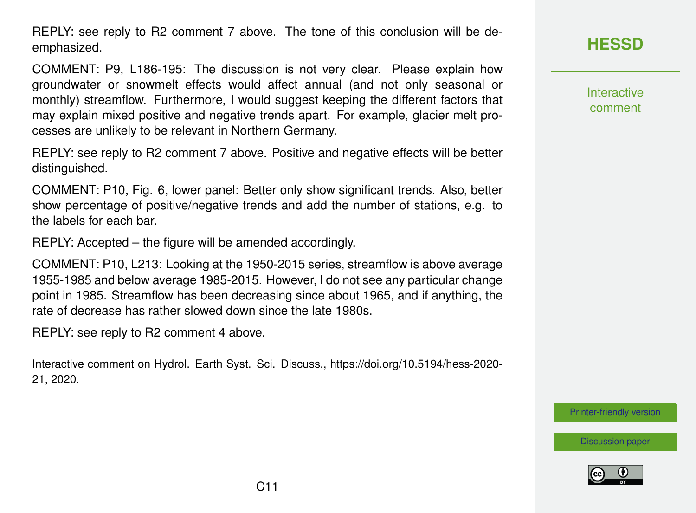REPLY: see reply to R2 comment 7 above. The tone of this conclusion will be deemphasized.

COMMENT: P9, L186-195: The discussion is not very clear. Please explain how groundwater or snowmelt effects would affect annual (and not only seasonal or monthly) streamflow. Furthermore, I would suggest keeping the different factors that may explain mixed positive and negative trends apart. For example, glacier melt processes are unlikely to be relevant in Northern Germany.

REPLY: see reply to R2 comment 7 above. Positive and negative effects will be better distinguished.

COMMENT: P10, Fig. 6, lower panel: Better only show significant trends. Also, better show percentage of positive/negative trends and add the number of stations, e.g. to the labels for each bar.

REPLY: Accepted – the figure will be amended accordingly.

COMMENT: P10, L213: Looking at the 1950-2015 series, streamflow is above average 1955-1985 and below average 1985-2015. However, I do not see any particular change point in 1985. Streamflow has been decreasing since about 1965, and if anything, the rate of decrease has rather slowed down since the late 1980s.

REPLY: see reply to R2 comment 4 above.

Interactive comment on Hydrol. Earth Syst. Sci. Discuss., https://doi.org/10.5194/hess-2020- 21, 2020.

**[HESSD](https://www.hydrol-earth-syst-sci-discuss.net/)**

Interactive comment

[Printer-friendly version](https://www.hydrol-earth-syst-sci-discuss.net/hess-2020-21/hess-2020-21-AC3-print.pdf)